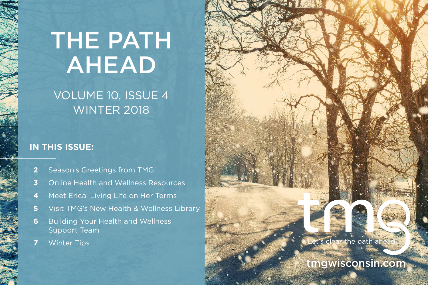# THE PATH AHEAD

# VOLUME 10, ISSUE 4 WINTER 2018

### **IN THIS ISSUE:**

- **2** Season's Greetings from TMG!
- **3** Online Health and Wellness Resources
- **4** Meet Erica: Living Life on Her Terms
- **5** Visit TMG's New Health & Wellness Library
- **6** Building Your Health and Wellness Support Team
- **7** Winter Tips



### tmgwisconsin.com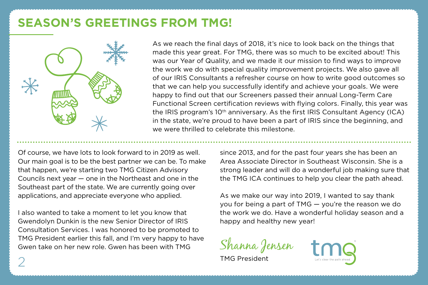# **SEASON'S GREETINGS FROM TMG!**



As we reach the final days of 2018, it's nice to look back on the things that made this year great. For TMG, there was so much to be excited about! This was our Year of Quality, and we made it our mission to find ways to improve the work we do with special quality improvement projects. We also gave all of our IRIS Consultants a refresher course on how to write good outcomes so that we can help you successfully identify and achieve your goals. We were happy to find out that our Screeners passed their annual Long-Term Care Functional Screen certification reviews with flying colors. Finally, this year was the IRIS program's 10<sup>th</sup> anniversary. As the first IRIS Consultant Agency (ICA) in the state, we're proud to have been a part of IRIS since the beginning, and we were thrilled to celebrate this milestone.

Of course, we have lots to look forward to in 2019 as well. Our main goal is to be the best partner we can be. To make that happen, we're starting two TMG Citizen Advisory Councils next year — one in the Northeast and one in the Southeast part of the state. We are currently going over applications, and appreciate everyone who applied.

I also wanted to take a moment to let you know that Gwendolyn Dunkin is the new Senior Director of IRIS Consultation Services. I was honored to be promoted to TMG President earlier this fall, and I'm very happy to have Gwen take on her new role. Gwen has been with TMG

since 2013, and for the past four years she has been an Area Associate Director in Southeast Wisconsin. She is a strong leader and will do a wonderful job making sure that the TMG ICA continues to help you clear the path ahead.

As we make our way into 2019, I wanted to say thank you for being a part of TMG — you're the reason we do the work we do. Have a wonderful holiday season and a happy and healthy new year!

Shanna Jensen

TMG President

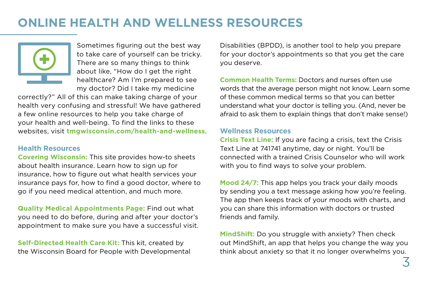# **ONLINE HEALTH AND WELLNESS RESOURCES**



Sometimes figuring out the best way to take care of yourself can be tricky. There are so many things to think about like, "How do I get the right healthcare? Am I'm prepared to see my doctor? Did I take my medicine

correctly?" All of this can make taking charge of your health very confusing and stressful! We have gathered a few online resources to help you take charge of your health and well-being. To find the links to these websites, visit **tmgwisconsin.com/health-and-wellness**.

#### **Health Resources**

**[Covering Wisconsin](https://www.coveringwi.org/learn):** This site provides how-to sheets about health insurance. Learn how to sign up for insurance, how to figure out what health services your insurance pays for, how to find a good doctor, where to go if you need medical attention, and much more.

**[Quality Medical Appointments Page:](https://docs.wixstatic.com/ugd/c73b28_031876c5b6764fd69c9d22627b75766e.pdf)** Find out what you need to do before, during and after your doctor's appointment to make sure you have a successful visit.

**[Self-Directed Health Care Kit:](https://wi-bpdd.org/index.php/2017/08/15/bpdd-health-care-kit-available/)** This kit, created by the Wisconsin Board for People with Developmental Disabilities (BPDD), is another tool to help you prepare for your doctor's appointments so that you get the care you deserve.

**[Common Health Terms](https://spryliving.com/articles/57-health-terms-everyone-should-know/):** Doctors and nurses often use words that the average person might not know. Learn some of these common medical terms so that you can better understand what your doctor is telling you. (And, never be afraid to ask them to explain things that don't make sense!)

#### **Wellness Resources**

**[Crisis Text Line:](https://www.crisistextline.org/)** If you are facing a crisis, text the Crisis Text Line at 741741 anytime, day or night. You'll be connected with a trained Crisis Counselor who will work with you to find ways to solve your problem.

**[Mood 24/7:](https://www.mood247.com/)** This app helps you track your daily moods by sending you a text message asking how you're feeling. The app then keeps track of your moods with charts, and you can share this information with doctors or trusted friends and family.

**[MindShift:](https://www.anxietycanada.com/resources/mindshift-app)** Do you struggle with anxiety? Then check out MindShift, an app that helps you change the way you think about anxiety so that it no longer overwhelms you.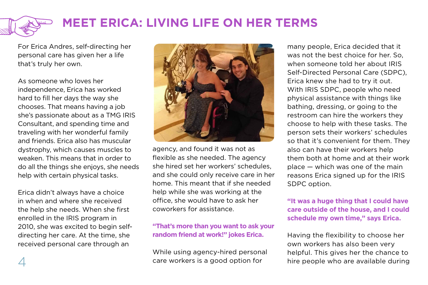

For Erica Andres, self-directing her personal care has given her a life that's truly her own.

As someone who loves her independence, Erica has worked hard to fill her days the way she chooses. That means having a job she's passionate about as a TMG IRIS Consultant, and spending time and traveling with her wonderful family and friends. Erica also has muscular dystrophy, which causes muscles to weaken. This means that in order to do all the things she enjoys, she needs help with certain physical tasks.

Erica didn't always have a choice in when and where she received the help she needs. When she first enrolled in the IRIS program in 2010, she was excited to begin selfdirecting her care. At the time, she received personal care through an



agency, and found it was not as flexible as she needed. The agency she hired set her workers' schedules, and she could only receive care in her home. This meant that if she needed help while she was working at the office, she would have to ask her coworkers for assistance.

#### **"That's more than you want to ask your random friend at work!" jokes Erica.**

While using agency-hired personal care workers is a good option for

many people, Erica decided that it was not the best choice for her. So, when someone told her about IRIS Self-Directed Personal Care (SDPC), Erica knew she had to try it out. With IRIS SDPC, people who need physical assistance with things like bathing, dressing, or going to the restroom can hire the workers they choose to help with these tasks. The person sets their workers' schedules so that it's convenient for them. They also can have their workers help them both at home and at their work place — which was one of the main reasons Erica signed up for the IRIS SDPC option.

**"It was a huge thing that I could have care outside of the house, and I could schedule my own time," says Erica.**

Having the flexibility to choose her own workers has also been very helpful. This gives her the chance to hire people who are available during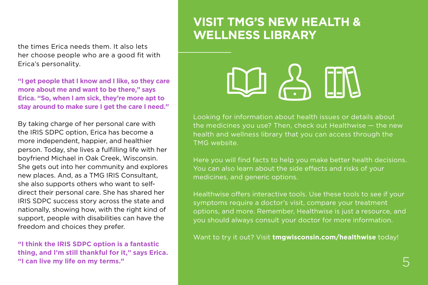the times Erica needs them. It also lets her choose people who are a good fit with Erica's personality.

**"I get people that I know and I like, so they care more about me and want to be there," says Erica. "So, when I am sick, they're more apt to stay around to make sure I get the care I need."**

By taking charge of her personal care with the IRIS SDPC option, Erica has become a more independent, happier, and healthier person. Today, she lives a fulfilling life with her boyfriend Michael in Oak Creek, Wisconsin. She gets out into her community and explores new places. And, as a TMG IRIS Consultant, she also supports others who want to selfdirect their personal care. She has shared her IRIS SDPC success story across the state and nationally, showing how, with the right kind of support, people with disabilities can have the freedom and choices they prefer.

**"I think the IRIS SDPC option is a fantastic thing, and I'm still thankful for it," says Erica. "I can live my life on my terms."** 

### **VISIT TMG'S NEW HEALTH & WELLNESS LIBRARY**

AS LIN

Looking for information about health issues or details about the medicines you use? Then, check out Healthwise — the new health and wellness library that you can access through the TMG website.

Here you will find facts to help you make better health decisions. You can also learn about the side effects and risks of your medicines, and generic options.

Healthwise offers interactive tools. Use these tools to see if your symptoms require a doctor's visit, compare your treatment options, and more. Remember, Healthwise is just a resource, and you should always consult your doctor for more information.

Want to try it out? Visit **tmgwisconsin.com/healthwise** today!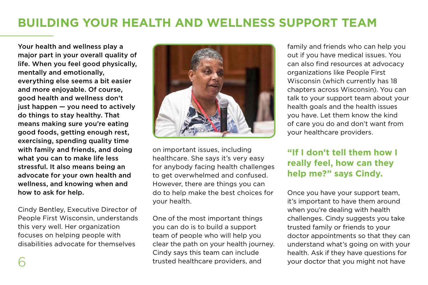# **BUILDING YOUR HEALTH AND WELLNESS SUPPORT TEAM**

Your health and wellness play a major part in your overall quality of life. When you feel good physically, mentally and emotionally, everything else seems a bit easier and more enjoyable. Of course, good health and wellness don't just happen — you need to actively do things to stay healthy. That means making sure you're eating good foods, getting enough rest, exercising, spending quality time with family and friends, and doing what you can to make life less stressful. It also means being an advocate for your own health and wellness, and knowing when and how to ask for help.

Cindy Bentley, Executive Director of People First Wisconsin, understands this very well. Her organization focuses on helping people with disabilities advocate for themselves



on important issues, including healthcare. She says it's very easy for anybody facing health challenges to get overwhelmed and confused. However, there are things you can do to help make the best choices for your health.

One of the most important things you can do is to build a support team of people who will help you clear the path on your health journey. Cindy says this team can include trusted healthcare providers, and

family and friends who can help you out if you have medical issues. You can also find resources at advocacy organizations like People First Wisconsin (which currently has 18 chapters across Wisconsin). You can talk to your support team about your health goals and the health issues you have. Let them know the kind of care you do and don't want from your healthcare providers.

### **"If I don't tell them how I really feel, how can they help me?" says Cindy.**

Once you have your support team, it's important to have them around when you're dealing with health challenges. Cindy suggests you take trusted family or friends to your doctor appointments so that they can understand what's going on with your health. Ask if they have questions for your doctor that you might not have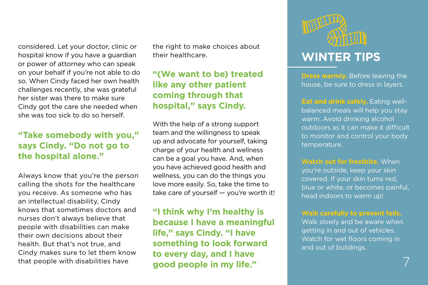considered. Let your doctor, clinic or hospital know if you have a guardian or power of attorney who can speak on your behalf if you're not able to do so. When Cindy faced her own health challenges recently, she was grateful her sister was there to make sure Cindy got the care she needed when she was too sick to do so herself.

### **"Take somebody with you," says Cindy. "Do not go to the hospital alone."**

Always know that you're the person calling the shots for the healthcare you receive. As someone who has an intellectual disability, Cindy knows that sometimes doctors and nurses don't always believe that people with disabilities can make their own decisions about their health. But that's not true, and Cindy makes sure to let them know that people with disabilities have

the right to make choices about their healthcare.

### **"(We want to be) treated like any other patient coming through that hospital," says Cindy.**

With the help of a strong support team and the willingness to speak up and advocate for yourself, taking charge of your health and wellness can be a goal you have. And, when you have achieved good health and wellness, you can do the things you love more easily. So, take the time to take care of yourself — you're worth it!

**"I think why I'm healthy is because I have a meaningful life," says Cindy. "I have something to look forward to every day, and I have good people in my life."**



**Dress warmly.** Before leaving the house, be sure to dress in layers.

**Eat and drink safely.** Eating wellbalanced meals will help you stay warm. Avoid drinking alcohol outdoors as it can make it difficult to monitor and control your body temperature.

**Watch out for frostbite.** When

you're outside, keep your skin covered. If your skin turns red, blue or white, or becomes painful, head indoors to warm up!

#### **Walk carefully to prevent falls.**

Walk slowly and be aware when getting in and out of vehicles. Watch for wet floors coming in and out of buildings.